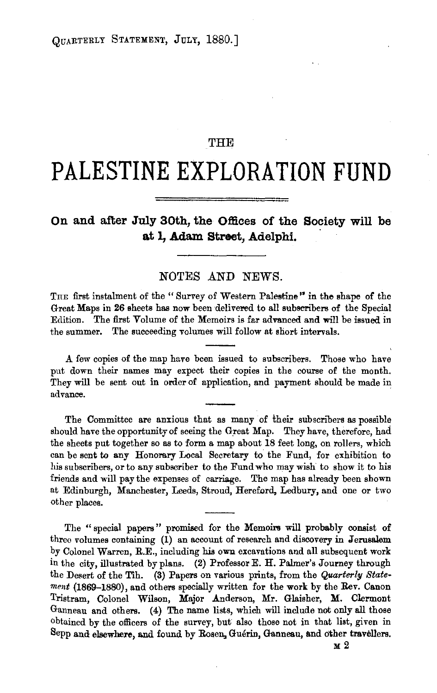## THE

# **PALESTINE EXPLORATION FUND**

## **On and after July 30th, the Offices of the Society will be**  at 1, Adam Street, Adelphi.

### NOTES AND NEWS.

THE first instalment of the "Survey of Western Palestine" in the shape of the Great Maps in 26 sheets has now been delivered to all subscribers of the Special Edition. The first Volume of the Memoirs is far advanced and will be issued in the summer. The succeeding volumes will follow at short intervals .

.A. few copies of the map huve been issued to subscribers. Those who have put down their names may expect their copies in the course of the month. They will be sent out in order of application, and payment should be made in advance.

The Committee are anxious that as many of their subscribers as possible should have the opportunity of seeing the Great Map. They have, therefore, had the sheets put together so as to form a map about 18 feet long, on rollers, which can be sent to any Honorary Local Secretary to the Fund, for exhibition to his subscribers, or to any subscriber to the Fund who may wish to show it to his friends and will pay the expenses of carriage. The map has already been shown nt Edinburgh, Manchester, Leeds, Stroud, Hereford, Ledbury, and one or two other places.

The " special papers " promised for the Memoirs will probably consist of threo volumes containing (1) an account of research and discovery in Jerusalem by Colonel Warren, R.E., including his own excavations and all subsequent work in the city, illustrated by plans. (2) Professor E. H. Palmar's Journey through the Desert of the Tih. {3) Papers on various prints, from the *Quarterly Statement* (1869-1880), and others specially written for the work by the Rev. Canon Tristram, Colonel Wilson, Major Anderson, Mr. Glaisher, M. Clermont Ganneau and others. (4) The name lists, which will include not only all those obtained by the officers of the survey, but also those not in that list, given in Sepp and elsewhere, and found by Rosen, Guerin, Ganneau, and other travellers.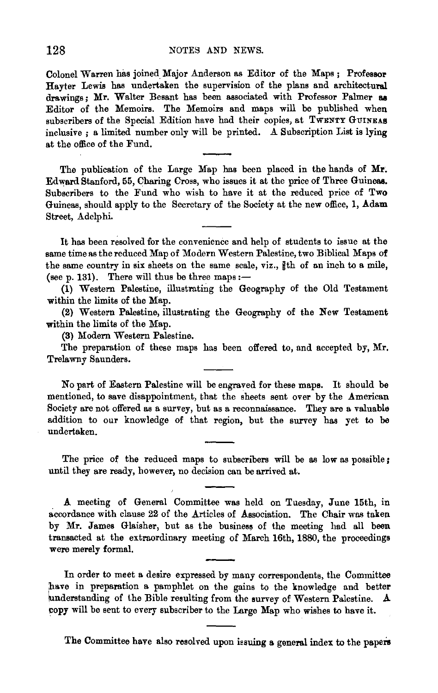Colonel Warren has joined. Major Anderson as Editor of the Maps ; Professor Hayter Lewis has undertaken the supervision of the plans and architectural drawings; Mr. Waiter Besant has been associated with Professor Palmer as Editor of the Memoirs. The Memoirs and maps will be published when subscribers of the Special Edition have had their copies, at TWENTY GUINEAS inclusive ; a limited number only will be printed. A Subscription List is lying at the office of the Fund.

The publication of the Large Map has been placed in the hands of  $Mr.$ Edward Stanford, 55, Charing Cross, who issues it at the price of Three Guineas. Subscribers to the Fund who wish to have it at the reduced price of Two Guineas, should apply to the Secretary of the Society at the new office, 1, Adam Street, Adelphi.

It has been resolved for the convenience and help of students to issue at the same time as the reduced Map of Modern Western Palestine, two Biblical Maps of the same country in six sheets on the same scale, viz.,  $%$ th of an inch to a mile, (see p. 131). There will thus be three maps: $-$ 

(1) Western Palestine, illustrating the Geography of the Old Testament within the limits of the Map.

(2) Western Palestine, illustrating the Geography of the New Testament within the limits of the Map.

(3) Modem Western Palestine.

The preparation of these maps has been offered to, and accepted by, Mr. Trelawny Saunders.

No part of Eastern Palestine will be engraved for these maps. It should be mentioned, to save disappointment, that the sheets sent over by the American Society are not offered as a survey, but as a reconnaissance. They are a valuable addition to our knowledge of that region, but the survey has yet to be undertaken.

The price of the reduced maps to subscribers will be as low as possible; until they are ready, however, no decision can be arrived at.

A meeting of General Committee was held on Tuesday, June 15th, in accordance with clause 22 of the Articles of Association. The Chair was taken by Mr. James Glaisher, but as the business of the meeting had all been transacted at the extraordinary meeting of March 16th, 1880, the proceedings were merely formal.

In order to meet a desire expressed by many correspondents, the Committee have in preparation a pamphlet on the gains to the knowledge and better understanding of the Bible resulting from the survey of Western Palestine. A copy will be sent to every subscriber to the Large Map who wishes to have it.

The Committee have also resolved upon issuing a general index to the papers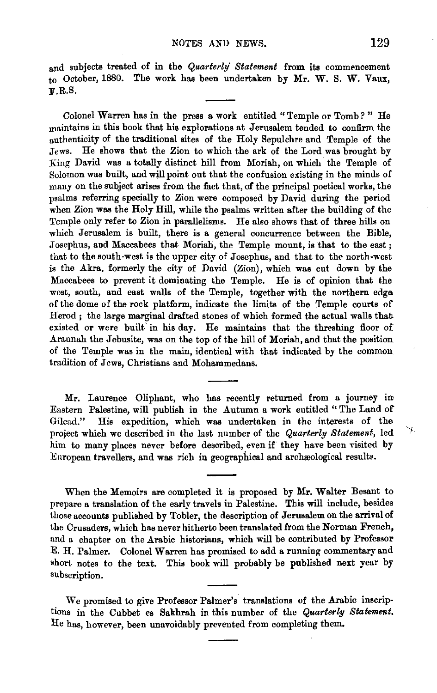and subjects treated of in the *Quarterly' Statement* from its commencement to October, 1880. The work has been undertaken by Mr. W. S. W. Vaux, :F.R.S.

Colonel Warren has in the press a work entitled " Temple or Tomb *?* " He maintains in this book that his explorations at Jerusalem tended to confirm the authenticity of the traditional sites of the Holy Sepulchre and Temple of the Jews. He shows that the Zion to which the ark of the Lord was brought by King David was a totally distinct hill from Moriah, on which the Temple of Solomon was built, and will point out that the confusion existing in the minds of many on the subject arises from the fact that, of the principal poetical works, the psalms referring specially to Zion were composed by David during the period when Zion was the Holy Hill, while the psalms written after the building of the Temple only refer to Zion in parallelisms. He also shows that of three hills on which Jerusalem is built, there is a general concurrence between the Bible, Josephus, and Maccabees that Moriah, the Temple mount, is that to the east; that to the south-west is the upper city of Josephus, and that to the north-west is the Akra, formerly the city of David (Zion), which was cut down by the Maccabees to prevent it dominating the Temple. He is of opinion that the west, south, and east walls of the Temple, together with the northern edga of the dome of the rock platform, indicate the limits of the Temple courts of Herod; the large marginal drafted stones of which formed the actual walls that existed or were built in his day. He maintains that the threshing floor of Araunah the Jebusite, was on the top of the hill of Moriah, and that the position of the Temple was in the main, identical with that indicated by the common tradition of  $\bar{J}$  cws, Christians and Mohammedans.

Mr. Laurence Oliphant, who has recently returned from a journey in Eastern Palestine, will publish in the Autumn a work entitled "The Land of Gilcad." His expedition, which was undertaken in the interests of the His expedition, which was undertaken in the interests of the project which we described in the last number of the *Quarterly Statement*, led him to many places never before described, even if they have been visited by Enropean travellers, and was rich in geographical and archreological results.

When the Memoirs are completed it is proposed by Mr. Waiter Besant to prepare a translation of the early travels in Palestine. This will include, besides those accounts published by Tobler, the description of Jerusalem on the arrival of the Crusaders, which has never hitherto been translated from the Norman French, and a chapter on the Arabic historians, which will be contributed by Professor E. H. Palmer. Colonel Warren has promised to add a running commentary and short notes to the text. This book will probably be published next year by subscription.

We promised to give Professor Palmer's translations of the Arabic inscriptions in the Cubbet es Sakhrah in this number of the *Quarterly Statement*. He has, however, been unavoidably prevented from completing them.

Ч.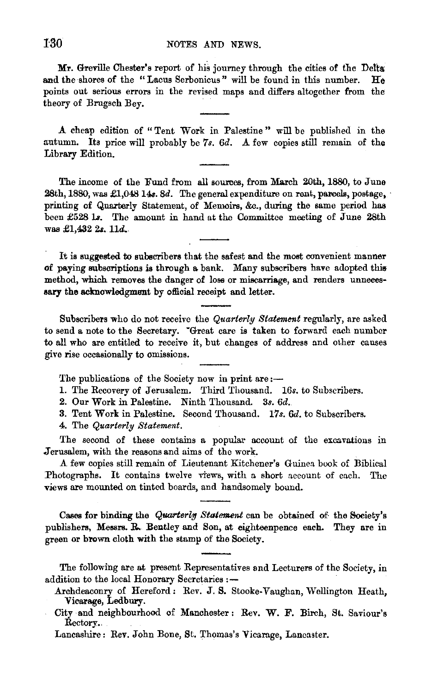Mr. Greville Chester's report of his journey through the cities of the Delta and the shores of the "Lacus Serbonicus" will be found in this number. He points out serious errors in the revised maps and differs altogether from the theory of Brugsch Bey.

A cheap edition of " Tent Work in Palestine " will be published in the autumn. Its price will probably be *7s. 6d.* A few copies still remain of the Library Edition.

The income of the Fund from all sources, from March 20th, 1880, to June 28th, 1880, was £1,048 14s. *Sd.* The general expenditure on rent, parcels, postage, · printing of Quaxterly Statement, of Memoirs, &c., during the same period has been £528 ls. The amount in hand at the Committee meeting of June 28th  $was £1.432 2s. 11d.$ 

It is suggested to subscribers that the safest and the most convenient manner of paying subscriptions is through a bank. Many subscribers have adopted this method, which removes the danger of loss or miscarriage, and renders unneces• sary the acknowledgment by official receipt and letter.

Subscribers who do not receive the *Quarterly Statement* regularly, are asked to send a note to the Secretary. "Great care is taken to forward each number to all who are entitled to receive it, but changes of address and other causes give rise occasionally to omissions.

The publications of the Society now in print are:-

1. The Recovery of Jerusalem. Third Thousand. *16s.* to Subscribers.

2. Our Work in Palestine. Ninth 'l'housand. 3s. *6d.* 

3. Tent Work in Palestine. Second Thousand. *17s. 6d.* to Subscribers.

4. The *Quarterly Statement.* 

The second of these contains a popular account of the excavations in Jerusalem, with the reasons and aims of the work.

*A* few copies still remain of Lieutenant Kitchener's Guinea book of Biblical Photographs. It contains twelve views, with a short account of each. The views are mounted on tinted boards, and handsomely bound.

Cases for binding the *Quarterly Statement* can be obtained of the Society's publishers, Messrs. R. Bentley and Son, at eighteenpence each. They are in green or brown cloth with the stamp of the Society.

The following are at present Representatives and Lecturers of the Society, in addition to the local Honorary Secretaries :-

Archdeaconry of Hereford: Rev. J. S. Stooke-Vaughan, Wellington Heath, Vicarage, Ledbury.

Lancashire: Rev. John Bone, St. Thomas's Vicarage, Lancaster.

City and neighbourhood of Manchester: Rev. W. F. Birch, St. Saviour's Rectory.,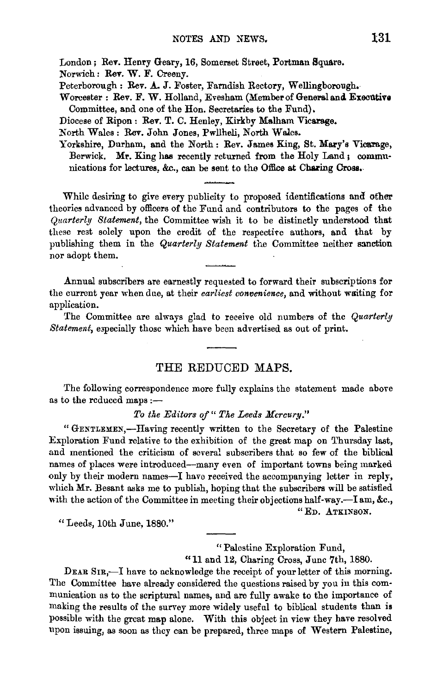London; Rev. Henry Geary, 16, Somerset Street, Portman Square.

Norwich: Rev. W. F. Creeny.

Peterborough: Rev. A. J. Foster, Farndish Rectory, Wellingborough.

Worcester: Rev. F. W. Holland, Evesham (Member of General and Executive Committee, and one o£ the Hon. Secretaries to the Fund}.

Diocese of Ripon : Rev. T. C. Henley, Kirkby Malham Vicarage.

North Wales: Rev. John Jones, Pwllheli, North Wales.

Yorkshire, Durham, and the North: Rev. James King, St. Mary's Vicarage, Berwick. Mr. King has recently returned from the Holy Land; communications for lectures, &c., can be sent to the Office at Charing Cross.

While desiring to give every publicity to proposed identifications and other theories advanced by officers of the Fund and contributors to the pages of the *Quarterly Statement,* the Committee wish it to be distinctly understood that these rest solely upon the credit of the respective authors, and that by publishing them in the *Quarterly Statement* the Committee neither sanction nor adopt them.

Annual subscribers are earnestly requested to forward their subscriptions for the current year when due, at their *earliest convenience,* and without waiting for application.

The Committee are always glad to receive old numbers of the *Quarterly*  Statement, especially those which have been advertised as out of print.

#### THE REDUCED MAPS.

The following correspondence more fully explains the statement made above as to the reduced maps  $:$   $-$ 

To the Editors of " The Leeds Mcrcury."

"GENTLEMEN,-Having recently written to the Secretary of the Palestine Exploration Fund relative to the exhibition of the great map on Thursday last, and mentioned the criticism of scyeral subscribers that so few of the biblical names of places were introduced--many even of important towns being marked only by their modern names-I have received the accompanying letter in reply, which Mr. Besant asks me to publish, hoping that the subscribers will be satisfied with the action of the Committee in meeting their objections half-way.--I am, &c.,

"ED. ATKINSON.

"Leeds, lOth June, 1880."

" Palestine Exploration Fund,

"11 and 12, Charing Cross, June 7th, 1880.

DEAR SIR,—I have to acknowledge the receipt of your letter of this morning. The Committee have already considered the questions raised by you in this communication us to the scriptural names, and are fully awake to the importance of making the results of the survey more widely useful to biblical students than is possible with the great map alone. With this object in view they have resolved upon issuing, as soon as they can be prepared, three maps of Western Palestine,